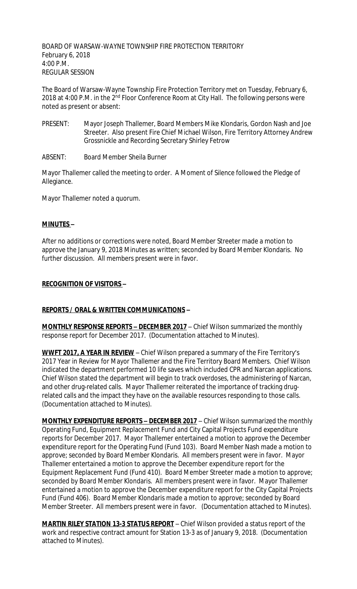BOARD OF WARSAW-WAYNE TOWNSHIP FIRE PROTECTION TERRITORY February 6, 2018 4:00 P.M. REGULAR SESSION

The Board of Warsaw-Wayne Township Fire Protection Territory met on Tuesday, February 6, 2018 at 4:00 P.M. in the 2<sup>nd</sup> Floor Conference Room at City Hall. The following persons were noted as present or absent:

- PRESENT: Mayor Joseph Thallemer, Board Members Mike Klondaris, Gordon Nash and Joe Streeter. Also present Fire Chief Michael Wilson, Fire Territory Attorney Andrew Grossnickle and Recording Secretary Shirley Fetrow
- ABSENT: Board Member Sheila Burner

Mayor Thallemer called the meeting to order. A Moment of Silence followed the Pledge of Allegiance.

Mayor Thallemer noted a quorum.

#### **MINUTES –**

After no additions or corrections were noted, Board Member Streeter made a motion to approve the January 9, 2018 Minutes as written; seconded by Board Member Klondaris. No further discussion. All members present were in favor.

#### **RECOGNITION OF VISITORS –**

### **REPORTS / ORAL & WRITTEN COMMUNICATIONS –**

**MONTHLY RESPONSE REPORTS – DECEMBER 2017** – Chief Wilson summarized the monthly response report for December 2017. (Documentation attached to Minutes).

**WWFT 2017, A YEAR IN REVIEW** – Chief Wilson prepared a summary of the Fire Territory's 2017 Year in Review for Mayor Thallemer and the Fire Territory Board Members. Chief Wilson indicated the department performed 10 life saves which included CPR and Narcan applications. Chief Wilson stated the department will begin to track overdoses, the administering of Narcan, and other drug-related calls. Mayor Thallemer reiterated the importance of tracking drugrelated calls and the impact they have on the available resources responding to those calls. (Documentation attached to Minutes).

**MONTHLY EXPENDITURE REPORTS – DECEMBER 2017** – Chief Wilson summarized the monthly Operating Fund, Equipment Replacement Fund and City Capital Projects Fund expenditure reports for December 2017. Mayor Thallemer entertained a motion to approve the December expenditure report for the Operating Fund (Fund 103). Board Member Nash made a motion to approve; seconded by Board Member Klondaris. All members present were in favor. Mayor Thallemer entertained a motion to approve the December expenditure report for the Equipment Replacement Fund (Fund 410). Board Member Streeter made a motion to approve; seconded by Board Member Klondaris. All members present were in favor. Mayor Thallemer entertained a motion to approve the December expenditure report for the City Capital Projects Fund (Fund 406). Board Member Klondaris made a motion to approve; seconded by Board Member Streeter. All members present were in favor. (Documentation attached to Minutes).

**MARTIN RILEY STATION 13-3 STATUS REPORT** – Chief Wilson provided a status report of the work and respective contract amount for Station 13-3 as of January 9, 2018. (Documentation attached to Minutes).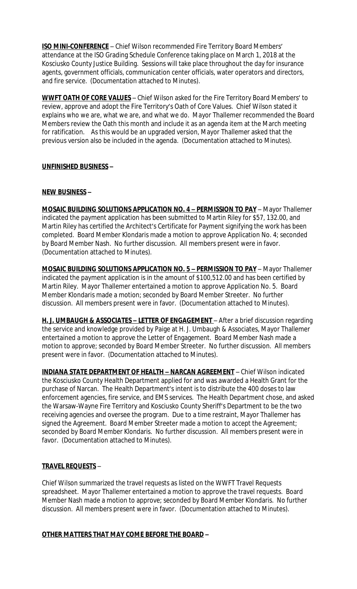**ISO MINI-CONFERENCE** - Chief Wilson recommended Fire Territory Board Members' attendance at the ISO Grading Schedule Conference taking place on March 1, 2018 at the Kosciusko County Justice Building. Sessions will take place throughout the day for insurance agents, government officials, communication center officials, water operators and directors, and fire service. (Documentation attached to Minutes).

**WWFT OATH OF CORE VALUES** – Chief Wilson asked for the Fire Territory Board Members' to review, approve and adopt the Fire Territory's Oath of Core Values. Chief Wilson stated it explains who we are, what we are, and what we do. Mayor Thallemer recommended the Board Members review the Oath this month and include it as an agenda item at the March meeting for ratification. As this would be an upgraded version, Mayor Thallemer asked that the previous version also be included in the agenda. (Documentation attached to Minutes).

## **UNFINISHED BUSINESS –**

## **NEW BUSINESS –**

**MOSAIC BUILDING SOLUTIONS APPLICATION NO. 4 – PERMISSION TO PAY** – Mayor Thallemer indicated the payment application has been submitted to Martin Riley for \$57, 132.00, and Martin Riley has certified the Architect's Certificate for Payment signifying the work has been completed. Board Member Klondaris made a motion to approve Application No. 4; seconded by Board Member Nash. No further discussion. All members present were in favor. (Documentation attached to Minutes).

**MOSAIC BUILDING SOLUTIONS APPLICATION NO. 5 – PERMISSION TO PAY** – Mayor Thallemer indicated the payment application is in the amount of \$100,512.00 and has been certified by Martin Riley. Mayor Thallemer entertained a motion to approve Application No. 5. Board Member Klondaris made a motion; seconded by Board Member Streeter. No further discussion. All members present were in favor. (Documentation attached to Minutes).

**H. J. UMBAUGH & ASSOCIATES - LETTER OF ENGAGEMENT** - After a brief discussion regarding the service and knowledge provided by Paige at H. J. Umbaugh & Associates, Mayor Thallemer entertained a motion to approve the Letter of Engagement. Board Member Nash made a motion to approve; seconded by Board Member Streeter. No further discussion. All members present were in favor. (Documentation attached to Minutes).

**INDIANA STATE DEPARTMENT OF HEALTH – NARCAN AGREEMENT** – Chief Wilson indicated the Kosciusko County Health Department applied for and was awarded a Health Grant for the purchase of Narcan. The Health Department's intent is to distribute the 400 doses to law enforcement agencies, fire service, and EMS services. The Health Department chose, and asked the Warsaw-Wayne Fire Territory and Kosciusko County Sheriff's Department to be the two receiving agencies and oversee the program. Due to a time restraint, Mayor Thallemer has signed the Agreement. Board Member Streeter made a motion to accept the Agreement; seconded by Board Member Klondaris. No further discussion. All members present were in favor. (Documentation attached to Minutes).

# **TRAVEL REQUESTS** –

Chief Wilson summarized the travel requests as listed on the WWFT Travel Requests spreadsheet. Mayor Thallemer entertained a motion to approve the travel requests. Board Member Nash made a motion to approve; seconded by Board Member Klondaris. No further discussion. All members present were in favor. (Documentation attached to Minutes).

### **OTHER MATTERS THAT MAY COME BEFORE THE BOARD –**